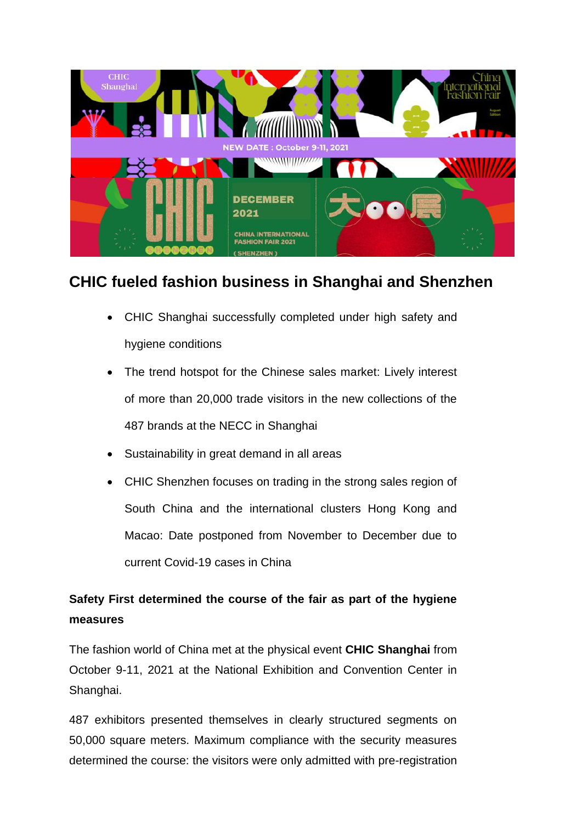

# **CHIC fueled fashion business in Shanghai and Shenzhen**

- CHIC Shanghai successfully completed under high safety and hygiene conditions
- The trend hotspot for the Chinese sales market: Lively interest of more than 20,000 trade visitors in the new collections of the 487 brands at the NECC in Shanghai
- Sustainability in great demand in all areas
- CHIC Shenzhen focuses on trading in the strong sales region of South China and the international clusters Hong Kong and Macao: Date postponed from November to December due to current Covid-19 cases in China

## **Safety First determined the course of the fair as part of the hygiene measures**

The fashion world of China met at the physical event **CHIC Shanghai** from October 9-11, 2021 at the National Exhibition and Convention Center in Shanghai.

487 exhibitors presented themselves in clearly structured segments on 50,000 square meters. Maximum compliance with the security measures determined the course: the visitors were only admitted with pre-registration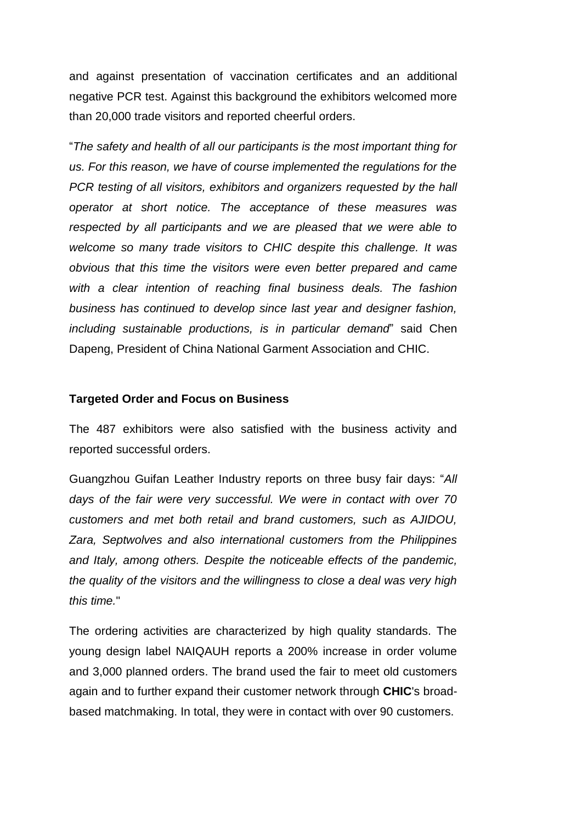and against presentation of vaccination certificates and an additional negative PCR test. Against this background the exhibitors welcomed more than 20,000 trade visitors and reported cheerful orders.

"*The safety and health of all our participants is the most important thing for us. For this reason, we have of course implemented the regulations for the PCR testing of all visitors, exhibitors and organizers requested by the hall operator at short notice. The acceptance of these measures was respected by all participants and we are pleased that we were able to welcome so many trade visitors to CHIC despite this challenge. It was obvious that this time the visitors were even better prepared and came with a clear intention of reaching final business deals. The fashion business has continued to develop since last year and designer fashion, including sustainable productions, is in particular demand*" said Chen Dapeng, President of China National Garment Association and CHIC.

#### **Targeted Order and Focus on Business**

The 487 exhibitors were also satisfied with the business activity and reported successful orders.

Guangzhou Guifan Leather Industry reports on three busy fair days: "*All days of the fair were very successful. We were in contact with over 70 customers and met both retail and brand customers, such as AJIDOU, Zara, Septwolves and also international customers from the Philippines and Italy, among others. Despite the noticeable effects of the pandemic, the quality of the visitors and the willingness to close a deal was very high this time.*"

The ordering activities are characterized by high quality standards. The young design label NAIQAUH reports a 200% increase in order volume and 3,000 planned orders. The brand used the fair to meet old customers again and to further expand their customer network through **CHIC**'s broadbased matchmaking. In total, they were in contact with over 90 customers.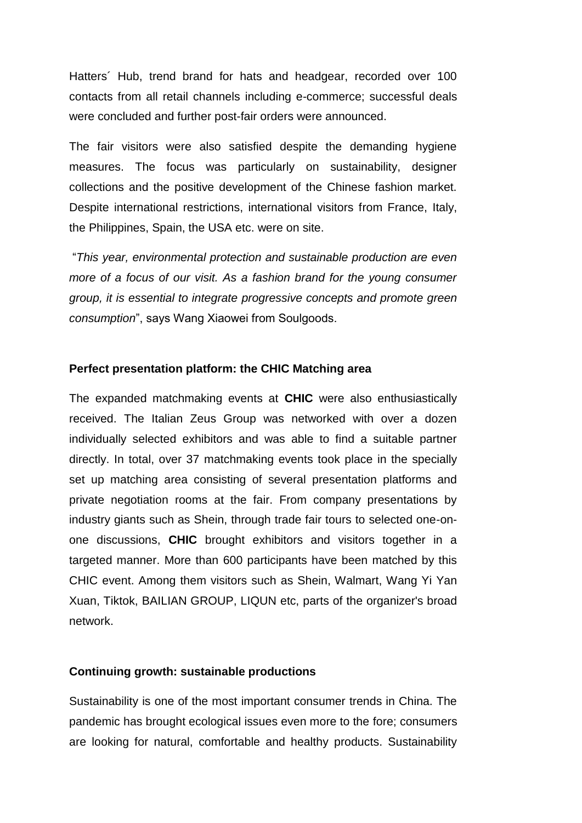Hatters´ Hub, trend brand for hats and headgear, recorded over 100 contacts from all retail channels including e-commerce; successful deals were concluded and further post-fair orders were announced.

The fair visitors were also satisfied despite the demanding hygiene measures. The focus was particularly on sustainability, designer collections and the positive development of the Chinese fashion market. Despite international restrictions, international visitors from France, Italy, the Philippines, Spain, the USA etc. were on site.

"*This year, environmental protection and sustainable production are even more of a focus of our visit. As a fashion brand for the young consumer group, it is essential to integrate progressive concepts and promote green consumption*", says Wang Xiaowei from Soulgoods.

#### **Perfect presentation platform: the CHIC Matching area**

The expanded matchmaking events at **CHIC** were also enthusiastically received. The Italian Zeus Group was networked with over a dozen individually selected exhibitors and was able to find a suitable partner directly. In total, over 37 matchmaking events took place in the specially set up matching area consisting of several presentation platforms and private negotiation rooms at the fair. From company presentations by industry giants such as Shein, through trade fair tours to selected one-onone discussions, **CHIC** brought exhibitors and visitors together in a targeted manner. More than 600 participants have been matched by this CHIC event. Among them visitors such as Shein, Walmart, Wang Yi Yan Xuan, Tiktok, BAILIAN GROUP, LIQUN etc, parts of the organizer's broad network.

#### **Continuing growth: sustainable productions**

Sustainability is one of the most important consumer trends in China. The pandemic has brought ecological issues even more to the fore; consumers are looking for natural, comfortable and healthy products. Sustainability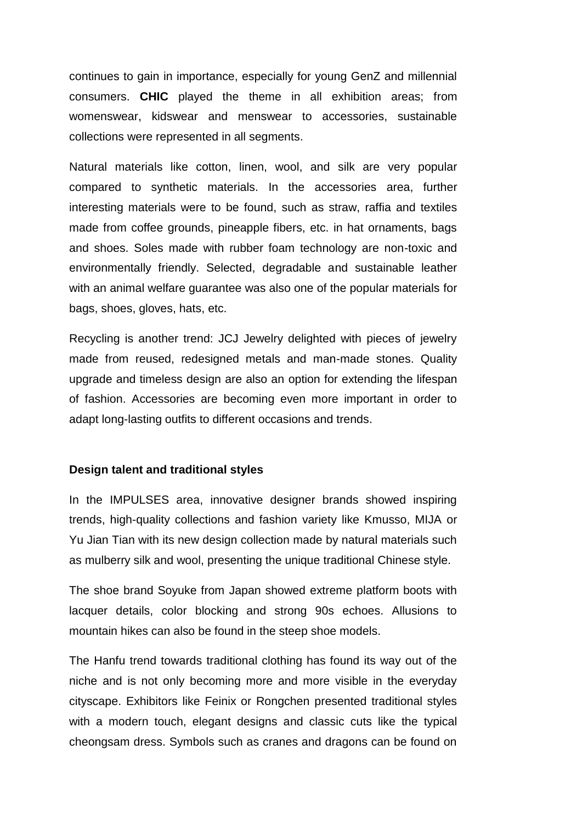continues to gain in importance, especially for young GenZ and millennial consumers. **CHIC** played the theme in all exhibition areas; from womenswear, kidswear and menswear to accessories, sustainable collections were represented in all segments.

Natural materials like cotton, linen, wool, and silk are very popular compared to synthetic materials. In the accessories area, further interesting materials were to be found, such as straw, raffia and textiles made from coffee grounds, pineapple fibers, etc. in hat ornaments, bags and shoes. Soles made with rubber foam technology are non-toxic and environmentally friendly. Selected, degradable and sustainable leather with an animal welfare guarantee was also one of the popular materials for bags, shoes, gloves, hats, etc.

Recycling is another trend: JCJ Jewelry delighted with pieces of jewelry made from reused, redesigned metals and man-made stones. Quality upgrade and timeless design are also an option for extending the lifespan of fashion. Accessories are becoming even more important in order to adapt long-lasting outfits to different occasions and trends.

#### **Design talent and traditional styles**

In the IMPULSES area, innovative designer brands showed inspiring trends, high-quality collections and fashion variety like Kmusso, MIJA or Yu Jian Tian with its new design collection made by natural materials such as mulberry silk and wool, presenting the unique traditional Chinese style.

The shoe brand Soyuke from Japan showed extreme platform boots with lacquer details, color blocking and strong 90s echoes. Allusions to mountain hikes can also be found in the steep shoe models.

The Hanfu trend towards traditional clothing has found its way out of the niche and is not only becoming more and more visible in the everyday cityscape. Exhibitors like Feinix or Rongchen presented traditional styles with a modern touch, elegant designs and classic cuts like the typical cheongsam dress. Symbols such as cranes and dragons can be found on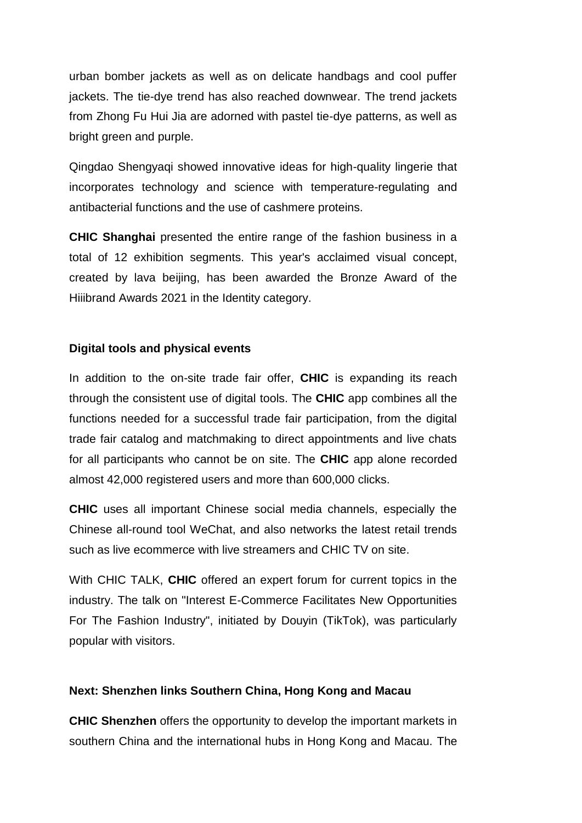urban bomber jackets as well as on delicate handbags and cool puffer jackets. The tie-dye trend has also reached downwear. The trend jackets from Zhong Fu Hui Jia are adorned with pastel tie-dye patterns, as well as bright green and purple.

Qingdao Shengyaqi showed innovative ideas for high-quality lingerie that incorporates technology and science with temperature-regulating and antibacterial functions and the use of cashmere proteins.

**CHIC Shanghai** presented the entire range of the fashion business in a total of 12 exhibition segments. This year's acclaimed visual concept, created by lava beijing, has been awarded the Bronze Award of the Hiiibrand Awards 2021 in the Identity category.

### **Digital tools and physical events**

In addition to the on-site trade fair offer, **CHIC** is expanding its reach through the consistent use of digital tools. The **CHIC** app combines all the functions needed for a successful trade fair participation, from the digital trade fair catalog and matchmaking to direct appointments and live chats for all participants who cannot be on site. The **CHIC** app alone recorded almost 42,000 registered users and more than 600,000 clicks.

**CHIC** uses all important Chinese social media channels, especially the Chinese all-round tool WeChat, and also networks the latest retail trends such as live ecommerce with live streamers and CHIC TV on site.

With CHIC TALK, **CHIC** offered an expert forum for current topics in the industry. The talk on "Interest E-Commerce Facilitates New Opportunities For The Fashion Industry", initiated by Douyin (TikTok), was particularly popular with visitors.

## **Next: Shenzhen links Southern China, Hong Kong and Macau**

**CHIC Shenzhen** offers the opportunity to develop the important markets in southern China and the international hubs in Hong Kong and Macau. The